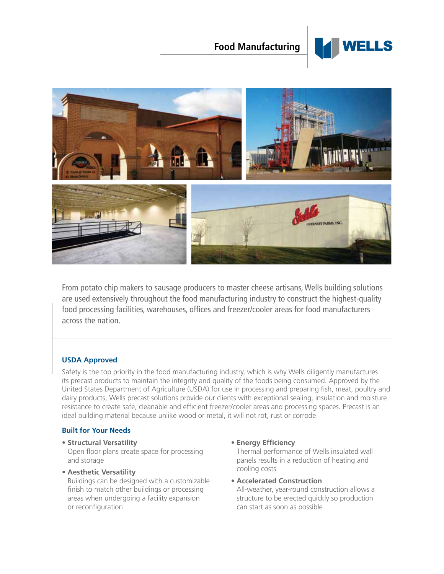# **Food Manufacturing**





From potato chip makers to sausage producers to master cheese artisans, Wells building solutions are used extensively throughout the food manufacturing industry to construct the highest-quality food processing facilities, warehouses, offices and freezer/cooler areas for food manufacturers across the nation.

## **USDA Approved**

Safety is the top priority in the food manufacturing industry, which is why Wells diligently manufactures its precast products to maintain the integrity and quality of the foods being consumed. Approved by the United States Department of Agriculture (USDA) for use in processing and preparing fish, meat, poultry and dairy products, Wells precast solutions provide our clients with exceptional sealing, insulation and moisture resistance to create safe, cleanable and efficient freezer/cooler areas and processing spaces. Precast is an ideal building material because unlike wood or metal, it will not rot, rust or corrode.

## **Built for Your Needs**

- **Structural Versatility**  Open floor plans create space for processing and storage
- **Aesthetic Versatility**

Buildings can be designed with a customizable finish to match other buildings or processing areas when undergoing a facility expansion or reconfiguration

### **• Energy Efficiency**

Thermal performance of Wells insulated wall panels results in a reduction of heating and cooling costs

**• Accelerated Construction** All-weather, year-round construction allows a structure to be erected quickly so production can start as soon as possible